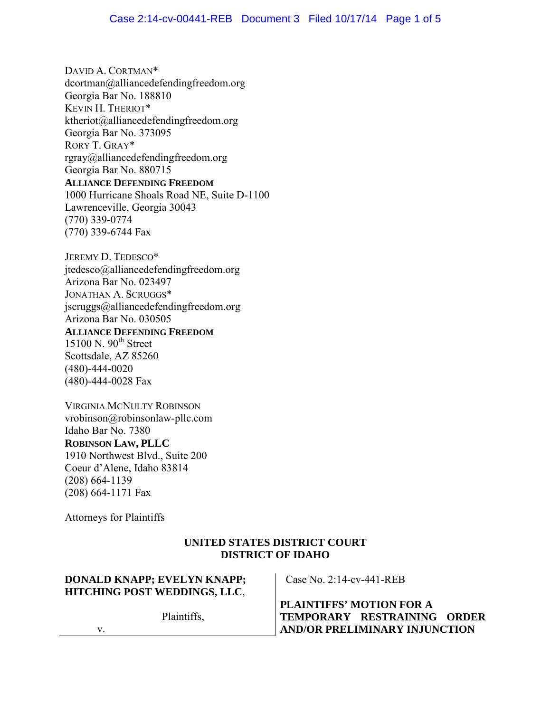DAVID A. CORTMAN\* dcortman@alliancedefendingfreedom.org Georgia Bar No. 188810 KEVIN H. THERIOT\* ktheriot@alliancedefendingfreedom.org Georgia Bar No. 373095 RORY T. GRAY\* rgray@alliancedefendingfreedom.org Georgia Bar No. 880715 **ALLIANCE DEFENDING FREEDOM** 1000 Hurricane Shoals Road NE, Suite D-1100 Lawrenceville, Georgia 30043 (770) 339-0774 (770) 339-6744 Fax

JEREMY D. TEDESCO\* jtedesco@alliancedefendingfreedom.org Arizona Bar No. 023497 JONATHAN A. SCRUGGS\* jscruggs@alliancedefendingfreedom.org Arizona Bar No. 030505 **ALLIANCE DEFENDING FREEDOM**

 $15100$  N.  $90<sup>th</sup>$  Street Scottsdale, AZ 85260 (480)-444-0020 (480)-444-0028 Fax

VIRGINIA MCNULTY ROBINSON vrobinson@robinsonlaw-pllc.com Idaho Bar No. 7380 **ROBINSON LAW, PLLC** 1910 Northwest Blvd., Suite 200 Coeur d'Alene, Idaho 83814 (208) 664-1139 (208) 664-1171 Fax

Attorneys for Plaintiffs

## **UNITED STATES DISTRICT COURT DISTRICT OF IDAHO**

## **DONALD KNAPP; EVELYN KNAPP; HITCHING POST WEDDINGS, LLC**,

Plaintiffs,

Case No. 2:14-cv-441-REB

**PLAINTIFFS' MOTION FOR A TEMPORARY RESTRAINING ORDER AND/OR PRELIMINARY INJUNCTION** 

v.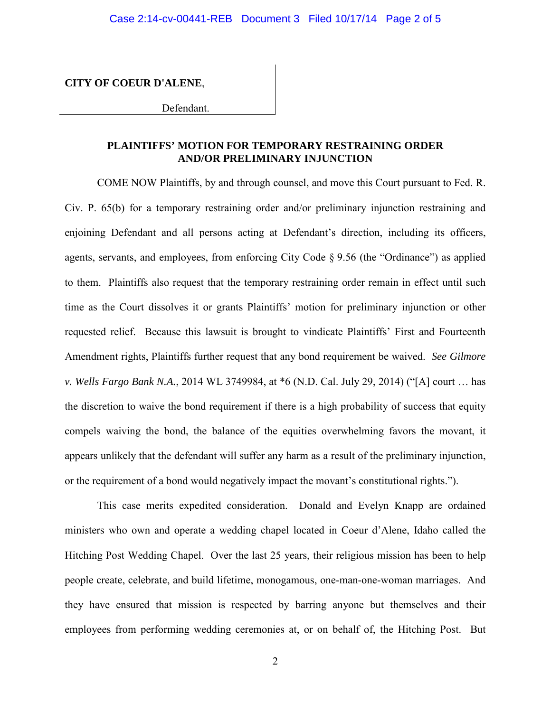**CITY OF COEUR D'ALENE**,

Defendant.

## **PLAINTIFFS' MOTION FOR TEMPORARY RESTRAINING ORDER AND/OR PRELIMINARY INJUNCTION**

COME NOW Plaintiffs, by and through counsel, and move this Court pursuant to Fed. R. Civ. P. 65(b) for a temporary restraining order and/or preliminary injunction restraining and enjoining Defendant and all persons acting at Defendant's direction, including its officers, agents, servants, and employees, from enforcing City Code § 9.56 (the "Ordinance") as applied to them. Plaintiffs also request that the temporary restraining order remain in effect until such time as the Court dissolves it or grants Plaintiffs' motion for preliminary injunction or other requested relief. Because this lawsuit is brought to vindicate Plaintiffs' First and Fourteenth Amendment rights, Plaintiffs further request that any bond requirement be waived. *See Gilmore v. Wells Fargo Bank N.A.*, 2014 WL 3749984, at \*6 (N.D. Cal. July 29, 2014) ("[A] court … has the discretion to waive the bond requirement if there is a high probability of success that equity compels waiving the bond, the balance of the equities overwhelming favors the movant, it appears unlikely that the defendant will suffer any harm as a result of the preliminary injunction, or the requirement of a bond would negatively impact the movant's constitutional rights.").

This case merits expedited consideration. Donald and Evelyn Knapp are ordained ministers who own and operate a wedding chapel located in Coeur d'Alene, Idaho called the Hitching Post Wedding Chapel. Over the last 25 years, their religious mission has been to help people create, celebrate, and build lifetime, monogamous, one-man-one-woman marriages. And they have ensured that mission is respected by barring anyone but themselves and their employees from performing wedding ceremonies at, or on behalf of, the Hitching Post. But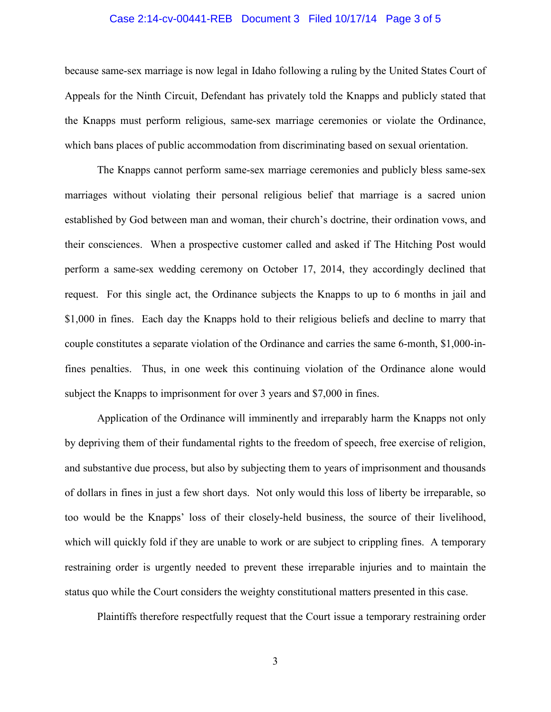#### Case 2:14-cv-00441-REB Document 3 Filed 10/17/14 Page 3 of 5

because same-sex marriage is now legal in Idaho following a ruling by the United States Court of Appeals for the Ninth Circuit, Defendant has privately told the Knapps and publicly stated that the Knapps must perform religious, same-sex marriage ceremonies or violate the Ordinance, which bans places of public accommodation from discriminating based on sexual orientation.

The Knapps cannot perform same-sex marriage ceremonies and publicly bless same-sex marriages without violating their personal religious belief that marriage is a sacred union established by God between man and woman, their church's doctrine, their ordination vows, and their consciences. When a prospective customer called and asked if The Hitching Post would perform a same-sex wedding ceremony on October 17, 2014, they accordingly declined that request. For this single act, the Ordinance subjects the Knapps to up to 6 months in jail and \$1,000 in fines. Each day the Knapps hold to their religious beliefs and decline to marry that couple constitutes a separate violation of the Ordinance and carries the same 6-month, \$1,000-infines penalties. Thus, in one week this continuing violation of the Ordinance alone would subject the Knapps to imprisonment for over 3 years and \$7,000 in fines.

Application of the Ordinance will imminently and irreparably harm the Knapps not only by depriving them of their fundamental rights to the freedom of speech, free exercise of religion, and substantive due process, but also by subjecting them to years of imprisonment and thousands of dollars in fines in just a few short days. Not only would this loss of liberty be irreparable, so too would be the Knapps' loss of their closely-held business, the source of their livelihood, which will quickly fold if they are unable to work or are subject to crippling fines. A temporary restraining order is urgently needed to prevent these irreparable injuries and to maintain the status quo while the Court considers the weighty constitutional matters presented in this case.

Plaintiffs therefore respectfully request that the Court issue a temporary restraining order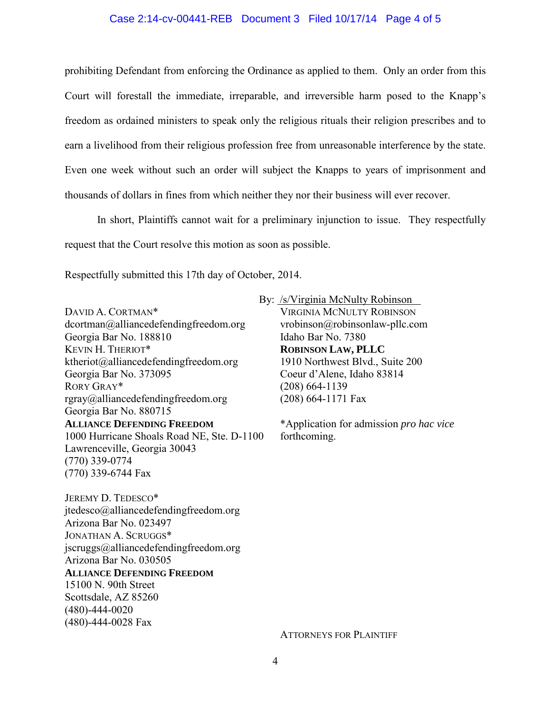#### Case 2:14-cv-00441-REB Document 3 Filed 10/17/14 Page 4 of 5

prohibiting Defendant from enforcing the Ordinance as applied to them. Only an order from this Court will forestall the immediate, irreparable, and irreversible harm posed to the Knapp's freedom as ordained ministers to speak only the religious rituals their religion prescribes and to earn a livelihood from their religious profession free from unreasonable interference by the state. Even one week without such an order will subject the Knapps to years of imprisonment and thousands of dollars in fines from which neither they nor their business will ever recover.

In short, Plaintiffs cannot wait for a preliminary injunction to issue. They respectfully request that the Court resolve this motion as soon as possible.

Respectfully submitted this 17th day of October, 2014.

DAVID A. CORTMAN\* dcortman@alliancedefendingfreedom.org Georgia Bar No. 188810 KEVIN H. THERIOT\* ktheriot@alliancedefendingfreedom.org Georgia Bar No. 373095 RORY GRAY\* rgray@alliancedefendingfreedom.org Georgia Bar No. 880715 **ALLIANCE DEFENDING FREEDOM** 1000 Hurricane Shoals Road NE, Ste. D-1100 Lawrenceville, Georgia 30043 (770) 339-0774 (770) 339-6744 Fax

JEREMY D. TEDESCO\* jtedesco@alliancedefendingfreedom.org Arizona Bar No. 023497 JONATHAN A. SCRUGGS\* jscruggs@alliancedefendingfreedom.org Arizona Bar No. 030505 **ALLIANCE DEFENDING FREEDOM** 15100 N. 90th Street Scottsdale, AZ 85260 (480)-444-0020

(480)-444-0028 Fax

By: /s/Virginia McNulty Robinson

VIRGINIA MCNULTY ROBINSON vrobinson@robinsonlaw-pllc.com Idaho Bar No. 7380 **ROBINSON LAW, PLLC** 1910 Northwest Blvd., Suite 200 Coeur d'Alene, Idaho 83814 (208) 664-1139 (208) 664-1171 Fax

\*Application for admission *pro hac vice* forthcoming.

ATTORNEYS FOR PLAINTIFF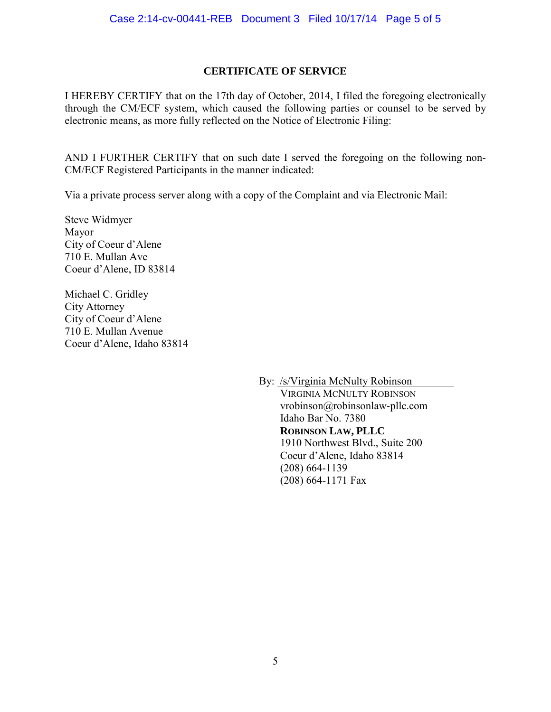## **CERTIFICATE OF SERVICE**

I HEREBY CERTIFY that on the 17th day of October, 2014, I filed the foregoing electronically through the CM/ECF system, which caused the following parties or counsel to be served by electronic means, as more fully reflected on the Notice of Electronic Filing:

AND I FURTHER CERTIFY that on such date I served the foregoing on the following non-CM/ECF Registered Participants in the manner indicated:

Via a private process server along with a copy of the Complaint and via Electronic Mail:

Steve Widmyer Mayor City of Coeur d'Alene 710 E. Mullan Ave Coeur d'Alene, ID 83814

Michael C. Gridley City Attorney City of Coeur d'Alene 710 E. Mullan Avenue Coeur d'Alene, Idaho 83814

By: /s/Virginia McNulty Robinson

VIRGINIA MCNULTY ROBINSON vrobinson@robinsonlaw-pllc.com Idaho Bar No. 7380 **ROBINSON LAW, PLLC** 1910 Northwest Blvd., Suite 200 Coeur d'Alene, Idaho 83814 (208) 664-1139 (208) 664-1171 Fax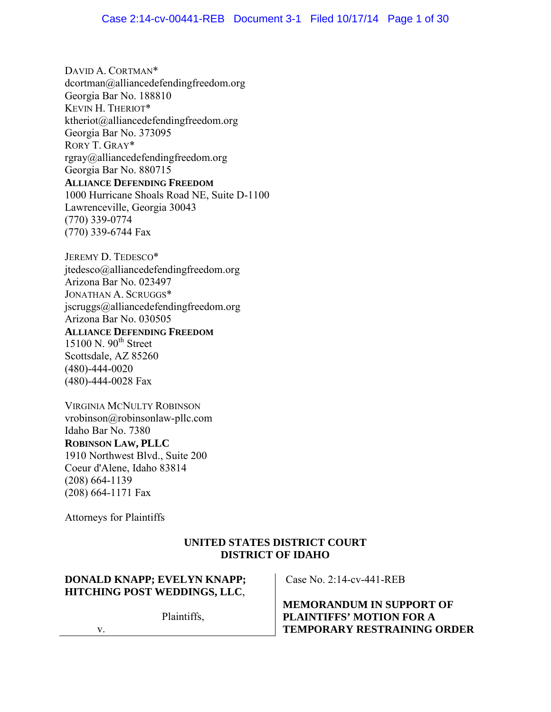DAVID A. CORTMAN\* dcortman@alliancedefendingfreedom.org Georgia Bar No. 188810 KEVIN H. THERIOT\* ktheriot@alliancedefendingfreedom.org Georgia Bar No. 373095 RORY T. GRAY\* rgray@alliancedefendingfreedom.org Georgia Bar No. 880715 **ALLIANCE DEFENDING FREEDOM** 1000 Hurricane Shoals Road NE, Suite D-1100 Lawrenceville, Georgia 30043 (770) 339-0774 (770) 339-6744 Fax

JEREMY D. TEDESCO\* jtedesco@alliancedefendingfreedom.org Arizona Bar No. 023497 JONATHAN A. SCRUGGS\* jscruggs@alliancedefendingfreedom.org Arizona Bar No. 030505 **ALLIANCE DEFENDING FREEDOM**

 $15100$  N.  $90<sup>th</sup>$  Street Scottsdale, AZ 85260 (480)-444-0020 (480)-444-0028 Fax

VIRGINIA MCNULTY ROBINSON vrobinson@robinsonlaw-pllc.com Idaho Bar No. 7380 **ROBINSON LAW, PLLC** 1910 Northwest Blvd., Suite 200 Coeur d'Alene, Idaho 83814 (208) 664-1139 (208) 664-1171 Fax

Attorneys for Plaintiffs

## **UNITED STATES DISTRICT COURT DISTRICT OF IDAHO**

## **DONALD KNAPP; EVELYN KNAPP; HITCHING POST WEDDINGS, LLC**,

Plaintiffs,

Case No. 2:14-cv-441-REB

**MEMORANDUM IN SUPPORT OF PLAINTIFFS' MOTION FOR A TEMPORARY RESTRAINING ORDER**

v.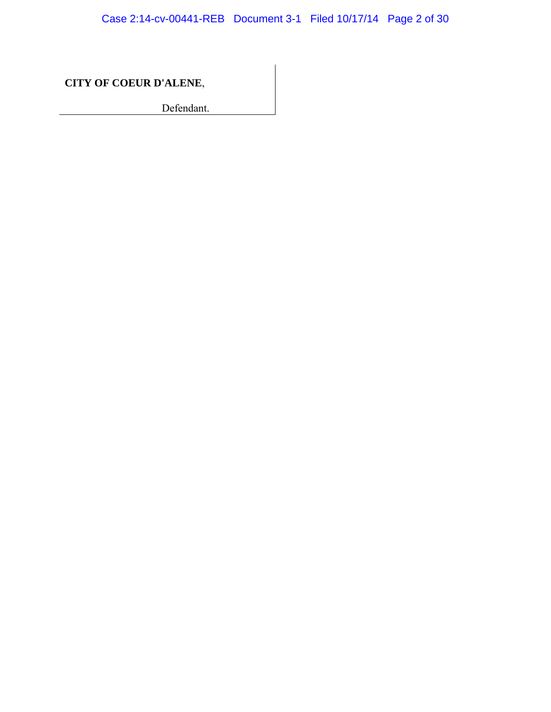Case 2:14-cv-00441-REB Document 3-1 Filed 10/17/14 Page 2 of 30

**CITY OF COEUR D'ALENE**,

Defendant.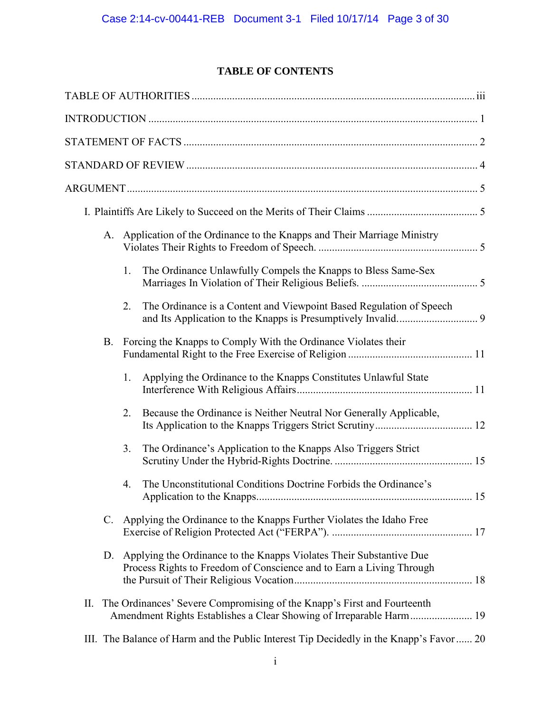# **TABLE OF CONTENTS**

|    | A. | Application of the Ordinance to the Knapps and Their Marriage Ministry                                                                      |  |
|----|----|---------------------------------------------------------------------------------------------------------------------------------------------|--|
|    |    | The Ordinance Unlawfully Compels the Knapps to Bless Same-Sex<br>1.                                                                         |  |
|    |    | The Ordinance is a Content and Viewpoint Based Regulation of Speech<br>2.                                                                   |  |
|    | B. | Forcing the Knapps to Comply With the Ordinance Violates their                                                                              |  |
|    |    | Applying the Ordinance to the Knapps Constitutes Unlawful State<br>1.                                                                       |  |
|    |    | Because the Ordinance is Neither Neutral Nor Generally Applicable,<br>2.                                                                    |  |
|    |    | The Ordinance's Application to the Knapps Also Triggers Strict<br>3.                                                                        |  |
|    |    | The Unconstitutional Conditions Doctrine Forbids the Ordinance's<br>4.                                                                      |  |
|    | C. | Applying the Ordinance to the Knapps Further Violates the Idaho Free                                                                        |  |
|    | D. | Applying the Ordinance to the Knapps Violates Their Substantive Due<br>Process Rights to Freedom of Conscience and to Earn a Living Through |  |
| П. |    | The Ordinances' Severe Compromising of the Knapp's First and Fourteenth                                                                     |  |
|    |    | III. The Balance of Harm and the Public Interest Tip Decidedly in the Knapp's Favor 20                                                      |  |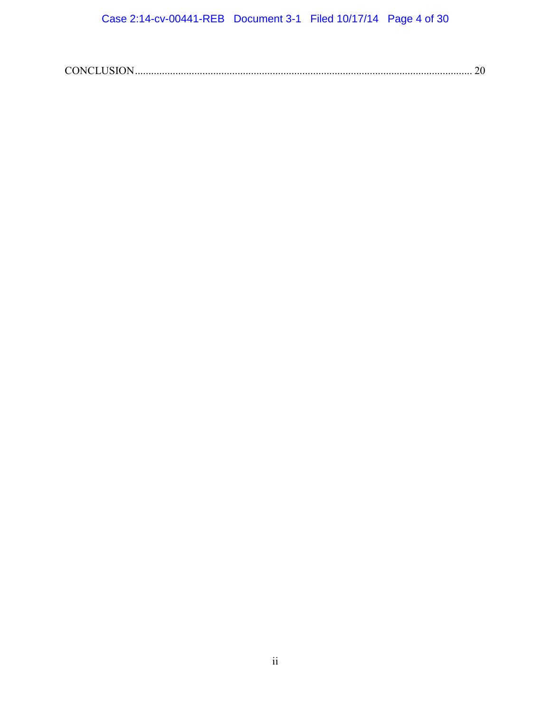|--|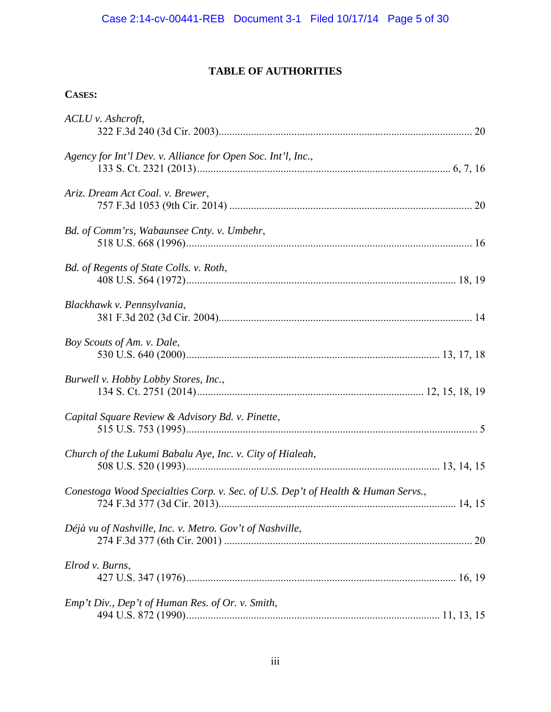# **TABLE OF AUTHORITIES**

## **CASES:**

| ACLU v. Ashcroft,                                                                |    |
|----------------------------------------------------------------------------------|----|
| Agency for Int'l Dev. v. Alliance for Open Soc. Int'l, Inc.,                     |    |
| Ariz. Dream Act Coal. v. Brewer,                                                 |    |
| Bd. of Comm'rs, Wabaunsee Cnty. v. Umbehr,                                       |    |
| Bd. of Regents of State Colls. v. Roth,                                          |    |
| Blackhawk v. Pennsylvania,                                                       |    |
| Boy Scouts of Am. v. Dale,                                                       |    |
| Burwell v. Hobby Lobby Stores, Inc.,                                             |    |
| Capital Square Review & Advisory Bd. v. Pinette,                                 |    |
| Church of the Lukumi Babalu Aye, Inc. v. City of Hialeah,                        |    |
| Conestoga Wood Specialties Corp. v. Sec. of U.S. Dep't of Health & Human Servs., |    |
| Déjà vu of Nashville, Inc. v. Metro. Gov't of Nashville,                         | 20 |
| Elrod v. Burns,                                                                  |    |
| Emp't Div., Dep't of Human Res. of Or. v. Smith,                                 |    |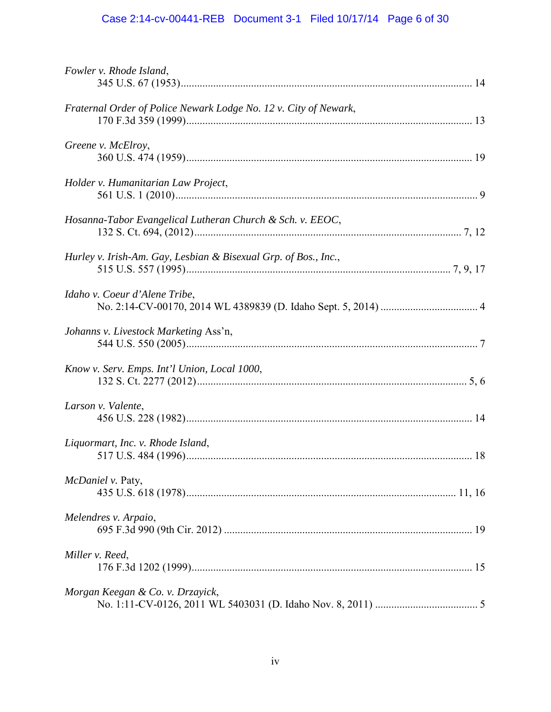# Case 2:14-cv-00441-REB Document 3-1 Filed 10/17/14 Page 6 of 30

| Fowler v. Rhode Island,                                          |  |
|------------------------------------------------------------------|--|
| Fraternal Order of Police Newark Lodge No. 12 v. City of Newark, |  |
| Greene v. McElroy,                                               |  |
| Holder v. Humanitarian Law Project,                              |  |
| Hosanna-Tabor Evangelical Lutheran Church & Sch. v. EEOC,        |  |
| Hurley v. Irish-Am. Gay, Lesbian & Bisexual Grp. of Bos., Inc.,  |  |
| Idaho v. Coeur d'Alene Tribe,                                    |  |
| Johanns v. Livestock Marketing Ass'n,                            |  |
| Know v. Serv. Emps. Int'l Union, Local 1000,                     |  |
| Larson v. Valente,                                               |  |
| Liquormart, Inc. v. Rhode Island,                                |  |
| McDaniel v. Paty,                                                |  |
| Melendres v. Arpaio,                                             |  |
| Miller v. Reed,                                                  |  |
| Morgan Keegan & Co. v. Drzayick,                                 |  |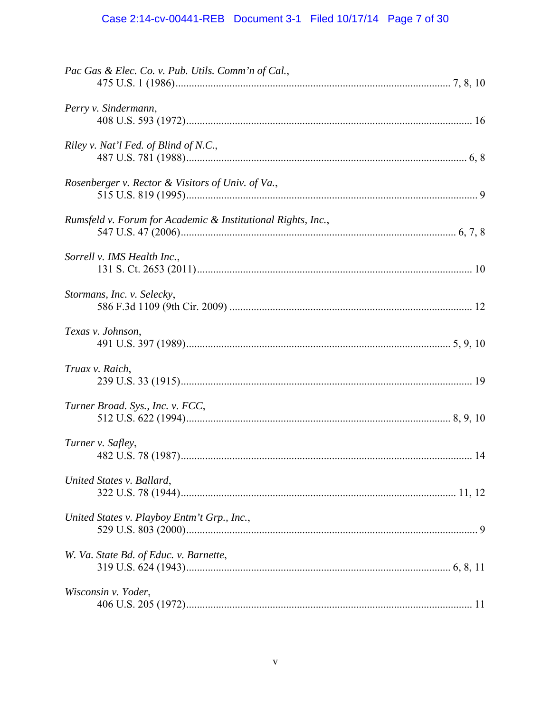# Case 2:14-cv-00441-REB Document 3-1 Filed 10/17/14 Page 7 of 30

| Pac Gas & Elec. Co. v. Pub. Utils. Comm'n of Cal.,           |  |
|--------------------------------------------------------------|--|
| Perry v. Sindermann,                                         |  |
| Riley v. Nat'l Fed. of Blind of N.C.,                        |  |
| Rosenberger v. Rector & Visitors of Univ. of Va.,            |  |
| Rumsfeld v. Forum for Academic & Institutional Rights, Inc., |  |
| Sorrell v. IMS Health Inc.,                                  |  |
| Stormans, Inc. v. Selecky,                                   |  |
| Texas v. Johnson,                                            |  |
| Truax v. Raich,                                              |  |
| Turner Broad. Sys., Inc. v. FCC,                             |  |
| Turner v. Safley,                                            |  |
| United States v. Ballard,                                    |  |
| United States v. Playboy Entm't Grp., Inc.,                  |  |
| W. Va. State Bd. of Educ. v. Barnette,                       |  |
| Wisconsin v. Yoder,                                          |  |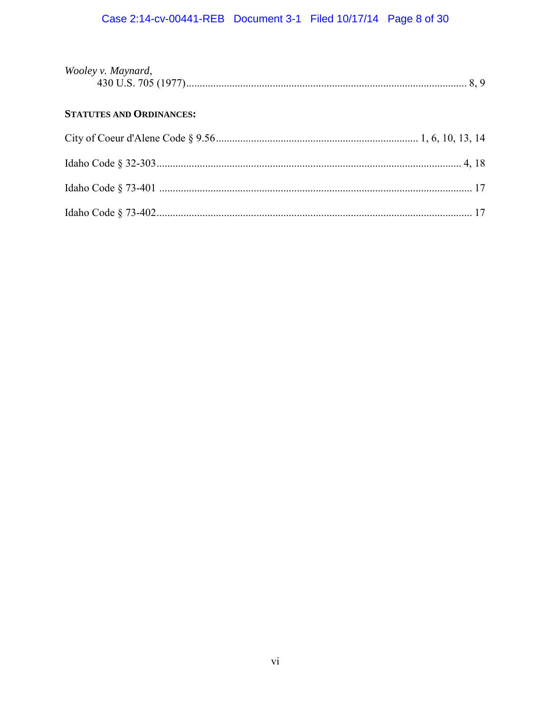# Case 2:14-cv-00441-REB Document 3-1 Filed 10/17/14 Page 8 of 30

| Wooley v. Maynard, |  |
|--------------------|--|
|                    |  |

## **STATUTES AND ORDINANCES:**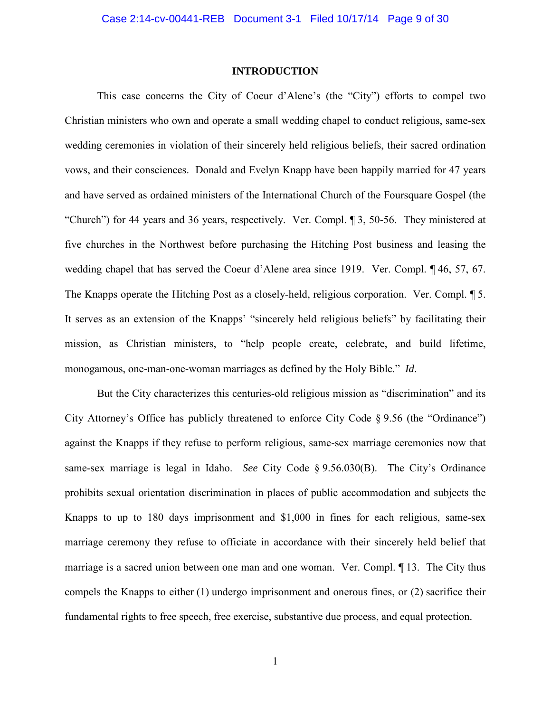#### **INTRODUCTION**

This case concerns the City of Coeur d'Alene's (the "City") efforts to compel two Christian ministers who own and operate a small wedding chapel to conduct religious, same-sex wedding ceremonies in violation of their sincerely held religious beliefs, their sacred ordination vows, and their consciences. Donald and Evelyn Knapp have been happily married for 47 years and have served as ordained ministers of the International Church of the Foursquare Gospel (the "Church") for 44 years and 36 years, respectively. Ver. Compl. ¶ 3, 50-56. They ministered at five churches in the Northwest before purchasing the Hitching Post business and leasing the wedding chapel that has served the Coeur d'Alene area since 1919. Ver. Compl. ¶ 46, 57, 67. The Knapps operate the Hitching Post as a closely-held, religious corporation. Ver. Compl. ¶ 5. It serves as an extension of the Knapps' "sincerely held religious beliefs" by facilitating their mission, as Christian ministers, to "help people create, celebrate, and build lifetime, monogamous, one-man-one-woman marriages as defined by the Holy Bible." *Id*.

But the City characterizes this centuries-old religious mission as "discrimination" and its City Attorney's Office has publicly threatened to enforce City Code § 9.56 (the "Ordinance") against the Knapps if they refuse to perform religious, same-sex marriage ceremonies now that same-sex marriage is legal in Idaho. *See* City Code § 9.56.030(B). The City's Ordinance prohibits sexual orientation discrimination in places of public accommodation and subjects the Knapps to up to 180 days imprisonment and \$1,000 in fines for each religious, same-sex marriage ceremony they refuse to officiate in accordance with their sincerely held belief that marriage is a sacred union between one man and one woman. Ver. Compl. ¶ 13. The City thus compels the Knapps to either (1) undergo imprisonment and onerous fines, or (2) sacrifice their fundamental rights to free speech, free exercise, substantive due process, and equal protection.

1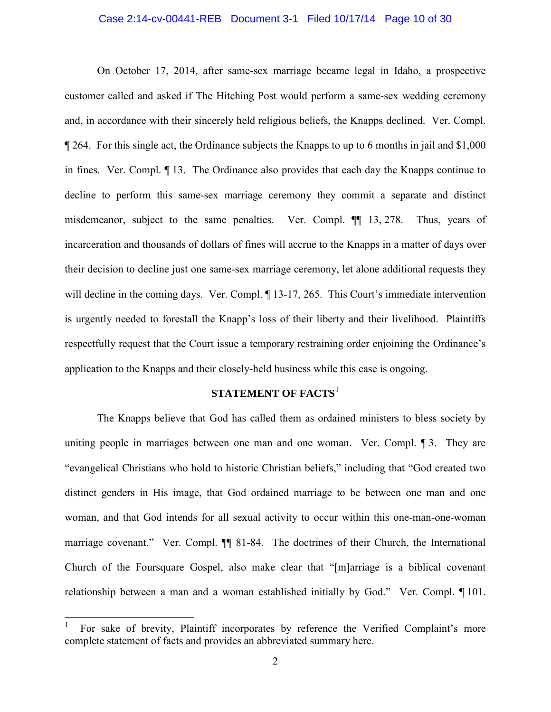## Case 2:14-cv-00441-REB Document 3-1 Filed 10/17/14 Page 10 of 30

On October 17, 2014, after same-sex marriage became legal in Idaho, a prospective customer called and asked if The Hitching Post would perform a same-sex wedding ceremony and, in accordance with their sincerely held religious beliefs, the Knapps declined. Ver. Compl. ¶ 264. For this single act, the Ordinance subjects the Knapps to up to 6 months in jail and \$1,000 in fines. Ver. Compl. ¶ 13. The Ordinance also provides that each day the Knapps continue to decline to perform this same-sex marriage ceremony they commit a separate and distinct misdemeanor, subject to the same penalties. Ver. Compl. ¶¶ 13, 278. Thus, years of incarceration and thousands of dollars of fines will accrue to the Knapps in a matter of days over their decision to decline just one same-sex marriage ceremony, let alone additional requests they will decline in the coming days. Ver. Compl.  $\P$  13-17, 265. This Court's immediate intervention is urgently needed to forestall the Knapp's loss of their liberty and their livelihood. Plaintiffs respectfully request that the Court issue a temporary restraining order enjoining the Ordinance's application to the Knapps and their closely-held business while this case is ongoing.

## **STATEMENT OF FACTS**<sup>1</sup>

The Knapps believe that God has called them as ordained ministers to bless society by uniting people in marriages between one man and one woman. Ver. Compl. ¶ 3. They are "evangelical Christians who hold to historic Christian beliefs," including that "God created two distinct genders in His image, that God ordained marriage to be between one man and one woman, and that God intends for all sexual activity to occur within this one-man-one-woman marriage covenant." Ver. Compl. ¶¶ 81-84. The doctrines of their Church, the International Church of the Foursquare Gospel, also make clear that "[m]arriage is a biblical covenant relationship between a man and a woman established initially by God." Ver. Compl. ¶ 101.

 $\overline{a}$ 

<sup>1</sup> For sake of brevity, Plaintiff incorporates by reference the Verified Complaint's more complete statement of facts and provides an abbreviated summary here.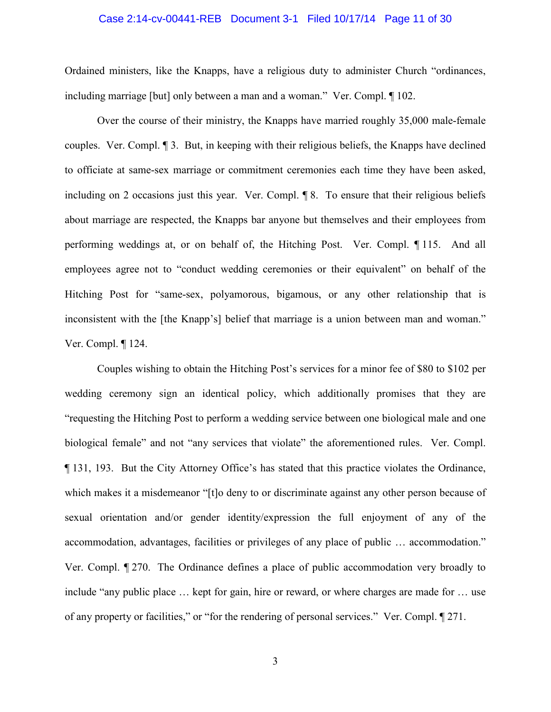#### Case 2:14-cv-00441-REB Document 3-1 Filed 10/17/14 Page 11 of 30

Ordained ministers, like the Knapps, have a religious duty to administer Church "ordinances, including marriage [but] only between a man and a woman." Ver. Compl. ¶ 102.

Over the course of their ministry, the Knapps have married roughly 35,000 male-female couples. Ver. Compl. ¶ 3. But, in keeping with their religious beliefs, the Knapps have declined to officiate at same-sex marriage or commitment ceremonies each time they have been asked, including on 2 occasions just this year. Ver. Compl. ¶ 8. To ensure that their religious beliefs about marriage are respected, the Knapps bar anyone but themselves and their employees from performing weddings at, or on behalf of, the Hitching Post. Ver. Compl. ¶ 115. And all employees agree not to "conduct wedding ceremonies or their equivalent" on behalf of the Hitching Post for "same-sex, polyamorous, bigamous, or any other relationship that is inconsistent with the [the Knapp's] belief that marriage is a union between man and woman." Ver. Compl. ¶ 124.

Couples wishing to obtain the Hitching Post's services for a minor fee of \$80 to \$102 per wedding ceremony sign an identical policy, which additionally promises that they are "requesting the Hitching Post to perform a wedding service between one biological male and one biological female" and not "any services that violate" the aforementioned rules. Ver. Compl. ¶ 131, 193. But the City Attorney Office's has stated that this practice violates the Ordinance, which makes it a misdemeanor "[t]o deny to or discriminate against any other person because of sexual orientation and/or gender identity/expression the full enjoyment of any of the accommodation, advantages, facilities or privileges of any place of public … accommodation." Ver. Compl. ¶ 270. The Ordinance defines a place of public accommodation very broadly to include "any public place … kept for gain, hire or reward, or where charges are made for … use of any property or facilities," or "for the rendering of personal services." Ver. Compl. ¶ 271.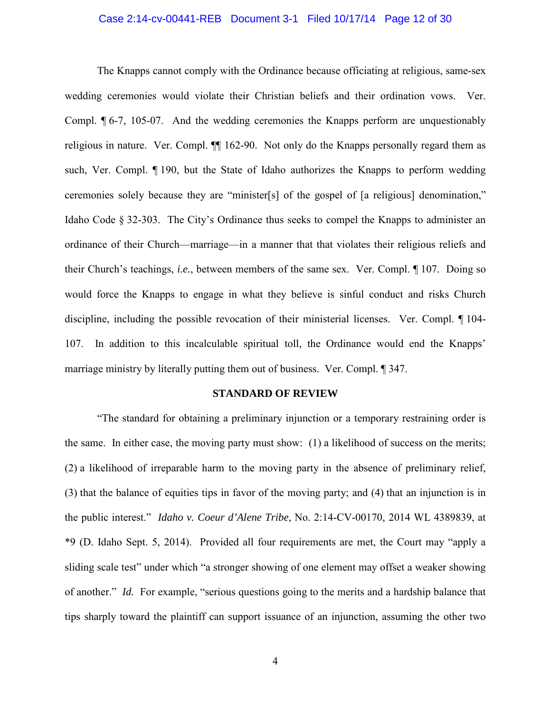#### Case 2:14-cv-00441-REB Document 3-1 Filed 10/17/14 Page 12 of 30

The Knapps cannot comply with the Ordinance because officiating at religious, same-sex wedding ceremonies would violate their Christian beliefs and their ordination vows. Ver. Compl. ¶ 6-7, 105-07. And the wedding ceremonies the Knapps perform are unquestionably religious in nature. Ver. Compl. ¶¶ 162-90. Not only do the Knapps personally regard them as such, Ver. Compl. ¶ 190, but the State of Idaho authorizes the Knapps to perform wedding ceremonies solely because they are "minister[s] of the gospel of [a religious] denomination," Idaho Code § 32-303. The City's Ordinance thus seeks to compel the Knapps to administer an ordinance of their Church—marriage—in a manner that that violates their religious reliefs and their Church's teachings, *i.e.*, between members of the same sex. Ver. Compl. ¶ 107. Doing so would force the Knapps to engage in what they believe is sinful conduct and risks Church discipline, including the possible revocation of their ministerial licenses. Ver. Compl. ¶ 104- 107. In addition to this incalculable spiritual toll, the Ordinance would end the Knapps' marriage ministry by literally putting them out of business. Ver. Compl. ¶ 347.

#### **STANDARD OF REVIEW**

"The standard for obtaining a preliminary injunction or a temporary restraining order is the same. In either case, the moving party must show: (1) a likelihood of success on the merits; (2) a likelihood of irreparable harm to the moving party in the absence of preliminary relief, (3) that the balance of equities tips in favor of the moving party; and (4) that an injunction is in the public interest." *Idaho v. Coeur d'Alene Tribe*, No. 2:14-CV-00170, 2014 WL 4389839, at \*9 (D. Idaho Sept. 5, 2014). Provided all four requirements are met, the Court may "apply a sliding scale test" under which "a stronger showing of one element may offset a weaker showing of another." *Id.* For example, "serious questions going to the merits and a hardship balance that tips sharply toward the plaintiff can support issuance of an injunction, assuming the other two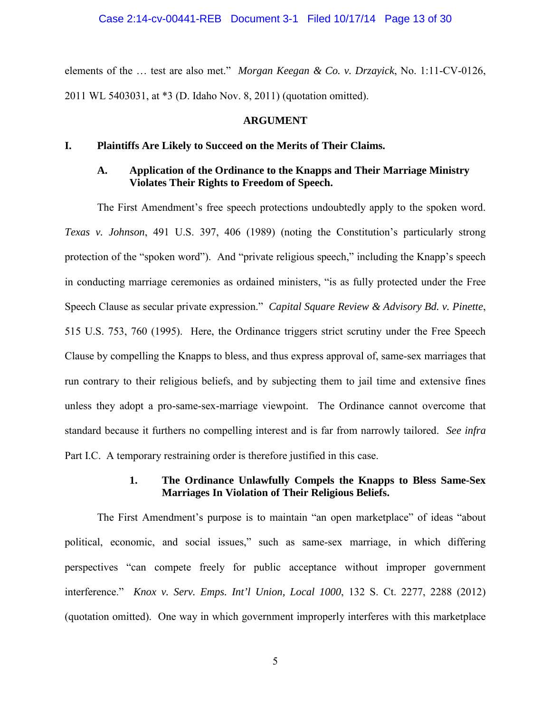elements of the … test are also met." *Morgan Keegan & Co. v. Drzayick*, No. 1:11-CV-0126, 2011 WL 5403031, at \*3 (D. Idaho Nov. 8, 2011) (quotation omitted).

#### **ARGUMENT**

### **I. Plaintiffs Are Likely to Succeed on the Merits of Their Claims.**

## **A. Application of the Ordinance to the Knapps and Their Marriage Ministry Violates Their Rights to Freedom of Speech.**

The First Amendment's free speech protections undoubtedly apply to the spoken word. *Texas v. Johnson*, 491 U.S. 397, 406 (1989) (noting the Constitution's particularly strong protection of the "spoken word"). And "private religious speech," including the Knapp's speech in conducting marriage ceremonies as ordained ministers, "is as fully protected under the Free Speech Clause as secular private expression." *Capital Square Review & Advisory Bd. v. Pinette*, 515 U.S. 753, 760 (1995). Here, the Ordinance triggers strict scrutiny under the Free Speech Clause by compelling the Knapps to bless, and thus express approval of, same-sex marriages that run contrary to their religious beliefs, and by subjecting them to jail time and extensive fines unless they adopt a pro-same-sex-marriage viewpoint. The Ordinance cannot overcome that standard because it furthers no compelling interest and is far from narrowly tailored. *See infra*  Part I.C. A temporary restraining order is therefore justified in this case.

### **1. The Ordinance Unlawfully Compels the Knapps to Bless Same-Sex Marriages In Violation of Their Religious Beliefs.**

The First Amendment's purpose is to maintain "an open marketplace" of ideas "about political, economic, and social issues," such as same-sex marriage, in which differing perspectives "can compete freely for public acceptance without improper government interference." *Knox v. Serv. Emps. Int'l Union, Local 1000*, 132 S. Ct. 2277, 2288 (2012) (quotation omitted). One way in which government improperly interferes with this marketplace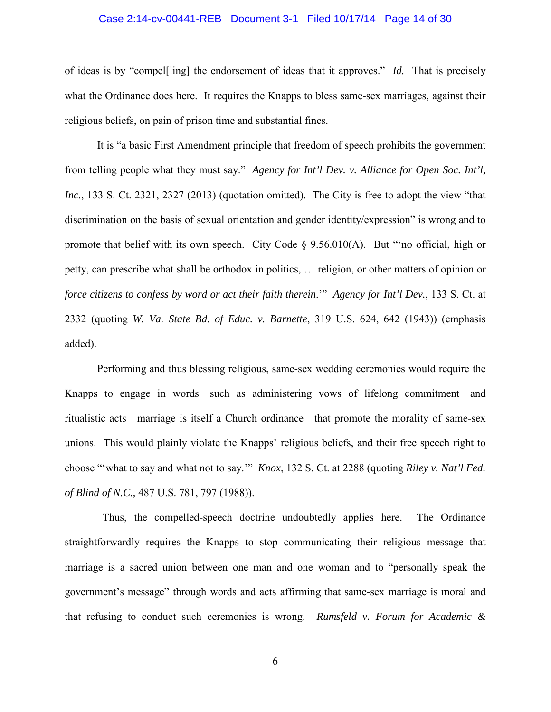#### Case 2:14-cv-00441-REB Document 3-1 Filed 10/17/14 Page 14 of 30

of ideas is by "compel[ling] the endorsement of ideas that it approves." *Id.* That is precisely what the Ordinance does here. It requires the Knapps to bless same-sex marriages, against their religious beliefs, on pain of prison time and substantial fines.

It is "a basic First Amendment principle that freedom of speech prohibits the government from telling people what they must say." *Agency for Int'l Dev. v. Alliance for Open Soc. Int'l, Inc.*, 133 S. Ct. 2321, 2327 (2013) (quotation omitted). The City is free to adopt the view "that discrimination on the basis of sexual orientation and gender identity/expression" is wrong and to promote that belief with its own speech. City Code § 9.56.010(A). But "'no official, high or petty, can prescribe what shall be orthodox in politics, … religion, or other matters of opinion or *force citizens to confess by word or act their faith therein*.'" *Agency for Int'l Dev.*, 133 S. Ct. at 2332 (quoting *W. Va. State Bd. of Educ. v. Barnette*, 319 U.S. 624, 642 (1943)) (emphasis added).

Performing and thus blessing religious, same-sex wedding ceremonies would require the Knapps to engage in words—such as administering vows of lifelong commitment—and ritualistic acts—marriage is itself a Church ordinance—that promote the morality of same-sex unions. This would plainly violate the Knapps' religious beliefs, and their free speech right to choose "'what to say and what not to say.'" *Knox*, 132 S. Ct. at 2288 (quoting *Riley v. Nat'l Fed. of Blind of N.C.*, 487 U.S. 781, 797 (1988)).

 Thus, the compelled-speech doctrine undoubtedly applies here. The Ordinance straightforwardly requires the Knapps to stop communicating their religious message that marriage is a sacred union between one man and one woman and to "personally speak the government's message" through words and acts affirming that same-sex marriage is moral and that refusing to conduct such ceremonies is wrong. *Rumsfeld v. Forum for Academic &*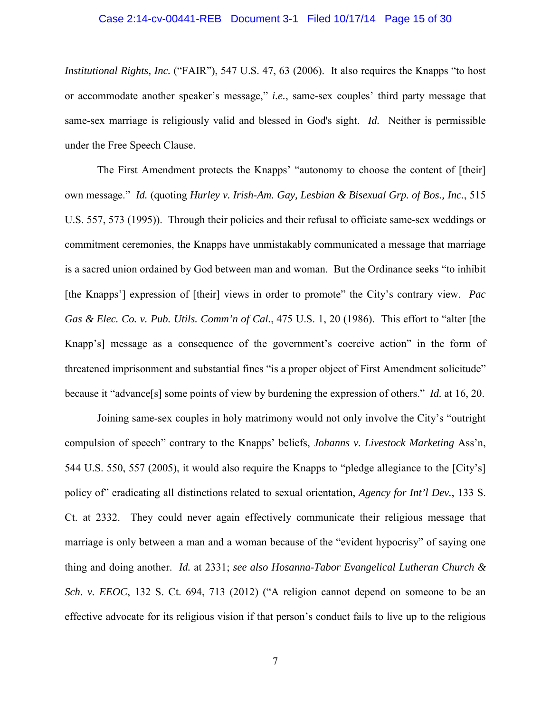#### Case 2:14-cv-00441-REB Document 3-1 Filed 10/17/14 Page 15 of 30

*Institutional Rights, Inc.* ("FAIR"), 547 U.S. 47, 63 (2006). It also requires the Knapps "to host or accommodate another speaker's message," *i.e.*, same-sex couples' third party message that same-sex marriage is religiously valid and blessed in God's sight. *Id.* Neither is permissible under the Free Speech Clause.

The First Amendment protects the Knapps' "autonomy to choose the content of [their] own message." *Id.* (quoting *Hurley v. Irish-Am. Gay, Lesbian & Bisexual Grp. of Bos., Inc.*, 515 U.S. 557, 573 (1995)). Through their policies and their refusal to officiate same-sex weddings or commitment ceremonies, the Knapps have unmistakably communicated a message that marriage is a sacred union ordained by God between man and woman. But the Ordinance seeks "to inhibit [the Knapps'] expression of [their] views in order to promote" the City's contrary view. *Pac Gas & Elec. Co. v. Pub. Utils. Comm'n of Cal.*, 475 U.S. 1, 20 (1986). This effort to "alter [the Knapp's] message as a consequence of the government's coercive action" in the form of threatened imprisonment and substantial fines "is a proper object of First Amendment solicitude" because it "advance[s] some points of view by burdening the expression of others." *Id.* at 16, 20.

Joining same-sex couples in holy matrimony would not only involve the City's "outright compulsion of speech" contrary to the Knapps' beliefs, *Johanns v. Livestock Marketing* Ass'n, 544 U.S. 550, 557 (2005), it would also require the Knapps to "pledge allegiance to the [City's] policy of" eradicating all distinctions related to sexual orientation, *Agency for Int'l Dev.*, 133 S. Ct. at 2332. They could never again effectively communicate their religious message that marriage is only between a man and a woman because of the "evident hypocrisy" of saying one thing and doing another. *Id.* at 2331; *see also Hosanna-Tabor Evangelical Lutheran Church & Sch. v. EEOC*, 132 S. Ct. 694, 713 (2012) ("A religion cannot depend on someone to be an effective advocate for its religious vision if that person's conduct fails to live up to the religious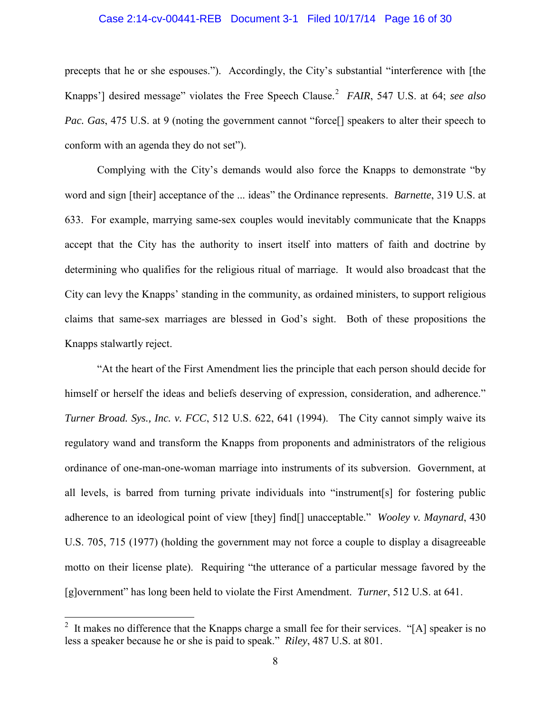#### Case 2:14-cv-00441-REB Document 3-1 Filed 10/17/14 Page 16 of 30

precepts that he or she espouses."). Accordingly, the City's substantial "interference with [the Knapps'] desired message" violates the Free Speech Clause. 2 *FAIR*, 547 U.S. at 64; *see also Pac. Gas,* 475 U.S. at 9 (noting the government cannot "force<sup>[]</sup> speakers to alter their speech to conform with an agenda they do not set").

Complying with the City's demands would also force the Knapps to demonstrate "by word and sign [their] acceptance of the ... ideas" the Ordinance represents. *Barnette*, 319 U.S. at 633. For example, marrying same-sex couples would inevitably communicate that the Knapps accept that the City has the authority to insert itself into matters of faith and doctrine by determining who qualifies for the religious ritual of marriage. It would also broadcast that the City can levy the Knapps' standing in the community, as ordained ministers, to support religious claims that same-sex marriages are blessed in God's sight. Both of these propositions the Knapps stalwartly reject.

"At the heart of the First Amendment lies the principle that each person should decide for himself or herself the ideas and beliefs deserving of expression, consideration, and adherence." *Turner Broad. Sys., Inc. v. FCC*, 512 U.S. 622, 641 (1994). The City cannot simply waive its regulatory wand and transform the Knapps from proponents and administrators of the religious ordinance of one-man-one-woman marriage into instruments of its subversion. Government, at all levels, is barred from turning private individuals into "instrument[s] for fostering public adherence to an ideological point of view [they] find[] unacceptable." *Wooley v. Maynard*, 430 U.S. 705, 715 (1977) (holding the government may not force a couple to display a disagreeable motto on their license plate). Requiring "the utterance of a particular message favored by the [g]overnment" has long been held to violate the First Amendment. *Turner*, 512 U.S. at 641.

<sup>&</sup>lt;sup>2</sup> It makes no difference that the Knapps charge a small fee for their services. "[A] speaker is no less a speaker because he or she is paid to speak." *Riley*, 487 U.S. at 801.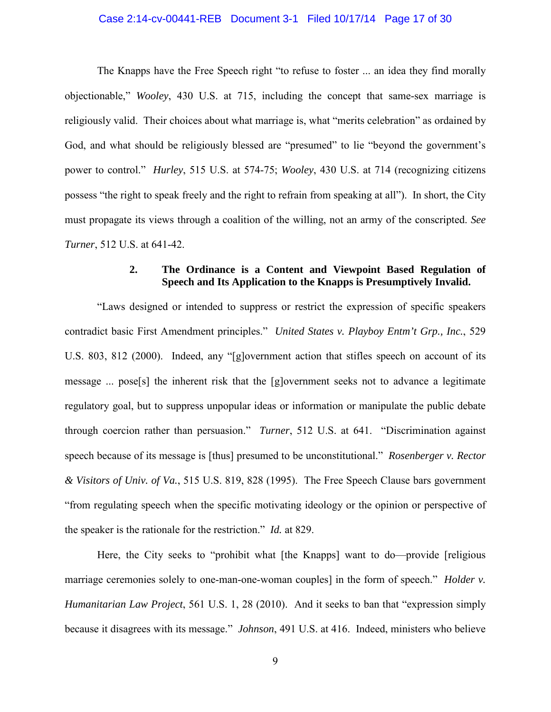#### Case 2:14-cv-00441-REB Document 3-1 Filed 10/17/14 Page 17 of 30

The Knapps have the Free Speech right "to refuse to foster ... an idea they find morally objectionable," *Wooley*, 430 U.S. at 715, including the concept that same-sex marriage is religiously valid. Their choices about what marriage is, what "merits celebration" as ordained by God, and what should be religiously blessed are "presumed" to lie "beyond the government's power to control." *Hurley*, 515 U.S. at 574-75; *Wooley*, 430 U.S. at 714 (recognizing citizens possess "the right to speak freely and the right to refrain from speaking at all"). In short, the City must propagate its views through a coalition of the willing, not an army of the conscripted. *See Turner*, 512 U.S. at 641-42.

## **2. The Ordinance is a Content and Viewpoint Based Regulation of Speech and Its Application to the Knapps is Presumptively Invalid.**

"Laws designed or intended to suppress or restrict the expression of specific speakers contradict basic First Amendment principles." *United States v. Playboy Entm't Grp., Inc.*, 529 U.S. 803, 812 (2000). Indeed, any "[g]overnment action that stifles speech on account of its message ... pose[s] the inherent risk that the [g]overnment seeks not to advance a legitimate regulatory goal, but to suppress unpopular ideas or information or manipulate the public debate through coercion rather than persuasion." *Turner*, 512 U.S. at 641. "Discrimination against speech because of its message is [thus] presumed to be unconstitutional." *Rosenberger v. Rector & Visitors of Univ. of Va.*, 515 U.S. 819, 828 (1995). The Free Speech Clause bars government "from regulating speech when the specific motivating ideology or the opinion or perspective of the speaker is the rationale for the restriction." *Id.* at 829.

Here, the City seeks to "prohibit what [the Knapps] want to do—provide [religious] marriage ceremonies solely to one-man-one-woman couples] in the form of speech." *Holder v. Humanitarian Law Project*, 561 U.S. 1, 28 (2010). And it seeks to ban that "expression simply because it disagrees with its message." *Johnson*, 491 U.S. at 416. Indeed, ministers who believe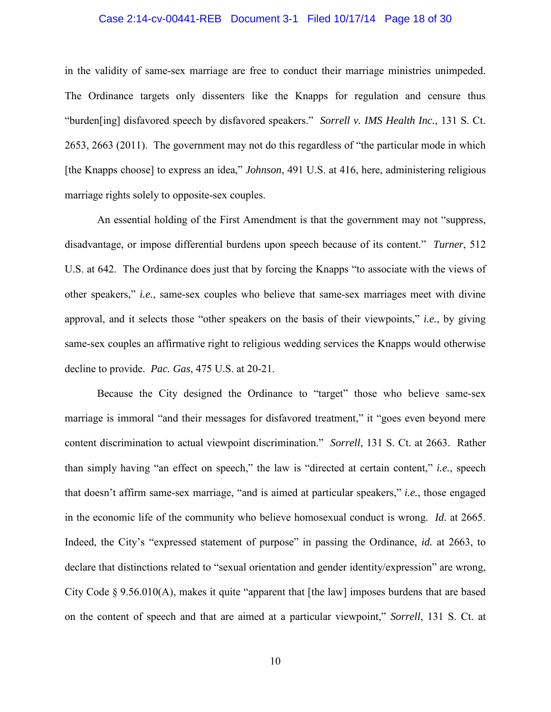## Case 2:14-cv-00441-REB Document 3-1 Filed 10/17/14 Page 18 of 30

in the validity of same-sex marriage are free to conduct their marriage ministries unimpeded. The Ordinance targets only dissenters like the Knapps for regulation and censure thus "burden[ing] disfavored speech by disfavored speakers." *Sorrell v. IMS Health Inc.*, 131 S. Ct. 2653, 2663 (2011). The government may not do this regardless of "the particular mode in which [the Knapps choose] to express an idea," *Johnson*, 491 U.S. at 416, here, administering religious marriage rights solely to opposite-sex couples.

An essential holding of the First Amendment is that the government may not "suppress, disadvantage, or impose differential burdens upon speech because of its content." *Turner*, 512 U.S. at 642. The Ordinance does just that by forcing the Knapps "to associate with the views of other speakers," *i.e.*, same-sex couples who believe that same-sex marriages meet with divine approval, and it selects those "other speakers on the basis of their viewpoints," *i.e.*, by giving same-sex couples an affirmative right to religious wedding services the Knapps would otherwise decline to provide. *Pac. Gas*, 475 U.S. at 20-21.

Because the City designed the Ordinance to "target" those who believe same-sex marriage is immoral "and their messages for disfavored treatment," it "goes even beyond mere content discrimination to actual viewpoint discrimination." *Sorrell*, 131 S. Ct. at 2663. Rather than simply having "an effect on speech," the law is "directed at certain content," *i.e.*, speech that doesn't affirm same-sex marriage, "and is aimed at particular speakers," *i.e.*, those engaged in the economic life of the community who believe homosexual conduct is wrong. *Id.* at 2665. Indeed, the City's "expressed statement of purpose" in passing the Ordinance, *id.* at 2663, to declare that distinctions related to "sexual orientation and gender identity/expression" are wrong, City Code § 9.56.010(A), makes it quite "apparent that [the law] imposes burdens that are based on the content of speech and that are aimed at a particular viewpoint," *Sorrell*, 131 S. Ct. at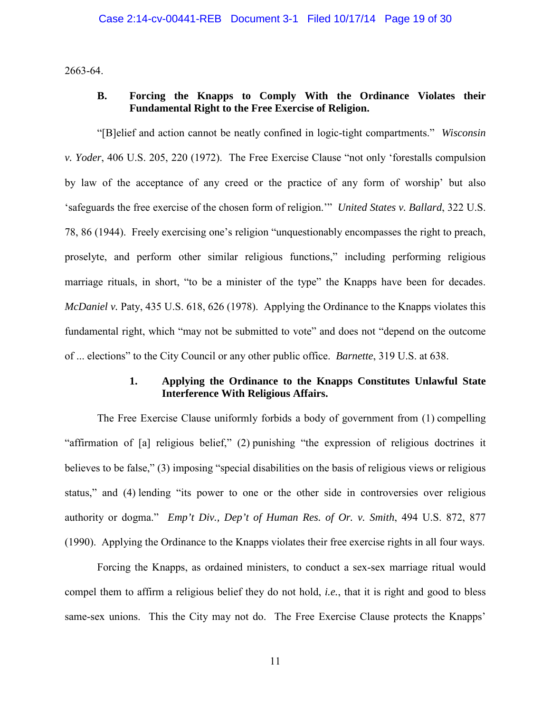2663-64.

## **B. Forcing the Knapps to Comply With the Ordinance Violates their Fundamental Right to the Free Exercise of Religion.**

"[B]elief and action cannot be neatly confined in logic-tight compartments." *Wisconsin v. Yoder*, 406 U.S. 205, 220 (1972). The Free Exercise Clause "not only 'forestalls compulsion by law of the acceptance of any creed or the practice of any form of worship' but also 'safeguards the free exercise of the chosen form of religion.'" *United States v. Ballard*, 322 U.S. 78, 86 (1944). Freely exercising one's religion "unquestionably encompasses the right to preach, proselyte, and perform other similar religious functions," including performing religious marriage rituals, in short, "to be a minister of the type" the Knapps have been for decades. *McDaniel v.* Paty, 435 U.S. 618, 626 (1978). Applying the Ordinance to the Knapps violates this fundamental right, which "may not be submitted to vote" and does not "depend on the outcome of ... elections" to the City Council or any other public office. *Barnette*, 319 U.S. at 638.

## **1. Applying the Ordinance to the Knapps Constitutes Unlawful State Interference With Religious Affairs.**

The Free Exercise Clause uniformly forbids a body of government from (1) compelling "affirmation of [a] religious belief," (2) punishing "the expression of religious doctrines it believes to be false," (3) imposing "special disabilities on the basis of religious views or religious status," and (4) lending "its power to one or the other side in controversies over religious authority or dogma." *Emp't Div., Dep't of Human Res. of Or. v. Smith*, 494 U.S. 872, 877 (1990). Applying the Ordinance to the Knapps violates their free exercise rights in all four ways.

Forcing the Knapps, as ordained ministers, to conduct a sex-sex marriage ritual would compel them to affirm a religious belief they do not hold, *i.e.*, that it is right and good to bless same-sex unions. This the City may not do. The Free Exercise Clause protects the Knapps'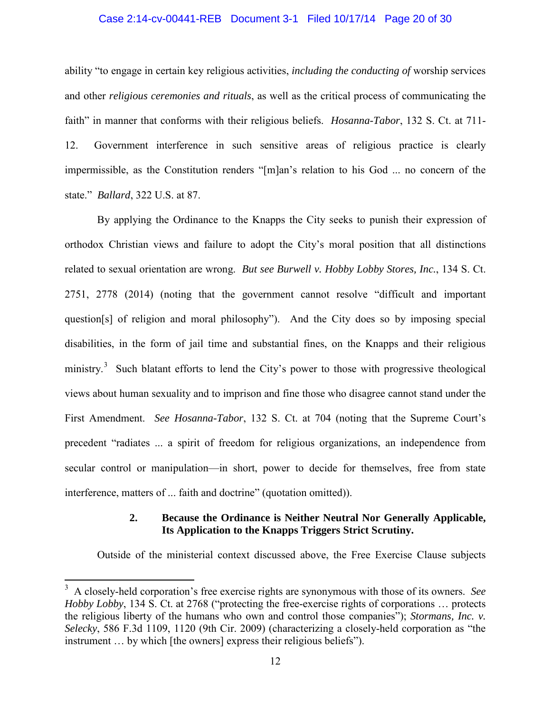#### Case 2:14-cv-00441-REB Document 3-1 Filed 10/17/14 Page 20 of 30

ability "to engage in certain key religious activities, *including the conducting of* worship services and other *religious ceremonies and rituals*, as well as the critical process of communicating the faith" in manner that conforms with their religious beliefs. *Hosanna-Tabor*, 132 S. Ct. at 711- 12. Government interference in such sensitive areas of religious practice is clearly impermissible, as the Constitution renders "[m]an's relation to his God ... no concern of the state." *Ballard*, 322 U.S. at 87.

By applying the Ordinance to the Knapps the City seeks to punish their expression of orthodox Christian views and failure to adopt the City's moral position that all distinctions related to sexual orientation are wrong. *But see Burwell v. Hobby Lobby Stores, Inc.*, 134 S. Ct. 2751, 2778 (2014) (noting that the government cannot resolve "difficult and important question[s] of religion and moral philosophy"). And the City does so by imposing special disabilities, in the form of jail time and substantial fines, on the Knapps and their religious ministry.<sup>3</sup> Such blatant efforts to lend the City's power to those with progressive theological views about human sexuality and to imprison and fine those who disagree cannot stand under the First Amendment. *See Hosanna-Tabor*, 132 S. Ct. at 704 (noting that the Supreme Court's precedent "radiates ... a spirit of freedom for religious organizations, an independence from secular control or manipulation—in short, power to decide for themselves, free from state interference, matters of ... faith and doctrine" (quotation omitted)).

## **2. Because the Ordinance is Neither Neutral Nor Generally Applicable, Its Application to the Knapps Triggers Strict Scrutiny.**

Outside of the ministerial context discussed above, the Free Exercise Clause subjects

 3 A closely-held corporation's free exercise rights are synonymous with those of its owners. *See Hobby Lobby*, 134 S. Ct. at 2768 ("protecting the free-exercise rights of corporations … protects the religious liberty of the humans who own and control those companies"); *Stormans, Inc. v. Selecky*, 586 F.3d 1109, 1120 (9th Cir. 2009) (characterizing a closely-held corporation as "the instrument … by which [the owners] express their religious beliefs").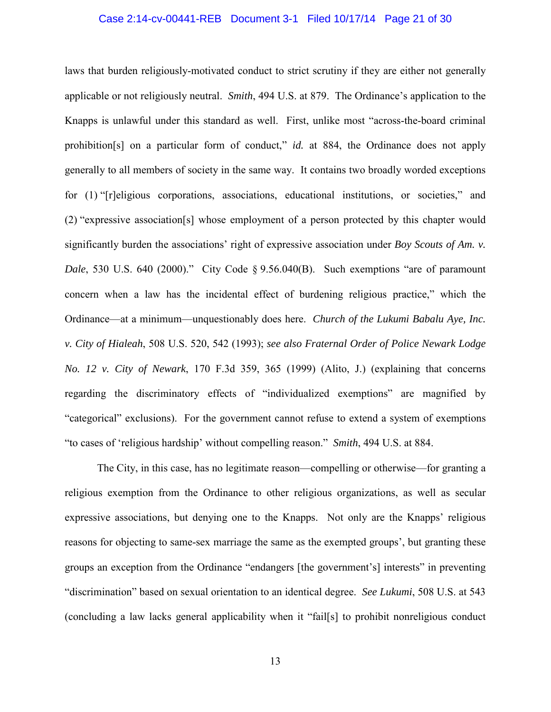#### Case 2:14-cv-00441-REB Document 3-1 Filed 10/17/14 Page 21 of 30

laws that burden religiously-motivated conduct to strict scrutiny if they are either not generally applicable or not religiously neutral. *Smith*, 494 U.S. at 879. The Ordinance's application to the Knapps is unlawful under this standard as well. First, unlike most "across-the-board criminal prohibition[s] on a particular form of conduct," *id.* at 884, the Ordinance does not apply generally to all members of society in the same way. It contains two broadly worded exceptions for (1) "[r]eligious corporations, associations, educational institutions, or societies," and (2) "expressive association[s] whose employment of a person protected by this chapter would significantly burden the associations' right of expressive association under *Boy Scouts of Am. v. Dale*, 530 U.S. 640 (2000)." City Code § 9.56.040(B). Such exemptions "are of paramount concern when a law has the incidental effect of burdening religious practice," which the Ordinance—at a minimum—unquestionably does here. *Church of the Lukumi Babalu Aye, Inc. v. City of Hialeah*, 508 U.S. 520, 542 (1993); *see also Fraternal Order of Police Newark Lodge No. 12 v. City of Newark*, 170 F.3d 359, 365 (1999) (Alito, J.) (explaining that concerns regarding the discriminatory effects of "individualized exemptions" are magnified by "categorical" exclusions). For the government cannot refuse to extend a system of exemptions "to cases of 'religious hardship' without compelling reason." *Smith*, 494 U.S. at 884.

The City, in this case, has no legitimate reason—compelling or otherwise—for granting a religious exemption from the Ordinance to other religious organizations, as well as secular expressive associations, but denying one to the Knapps. Not only are the Knapps' religious reasons for objecting to same-sex marriage the same as the exempted groups', but granting these groups an exception from the Ordinance "endangers [the government's] interests" in preventing "discrimination" based on sexual orientation to an identical degree. *See Lukumi*, 508 U.S. at 543 (concluding a law lacks general applicability when it "fail[s] to prohibit nonreligious conduct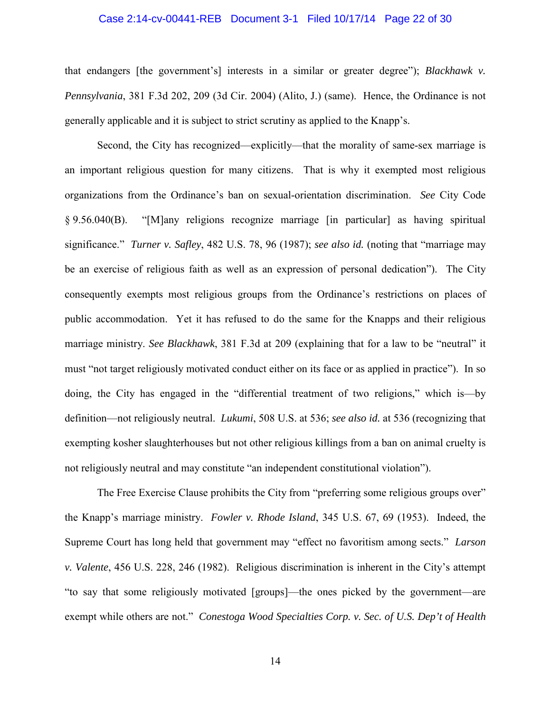#### Case 2:14-cv-00441-REB Document 3-1 Filed 10/17/14 Page 22 of 30

that endangers [the government's] interests in a similar or greater degree"); *Blackhawk v. Pennsylvania*, 381 F.3d 202, 209 (3d Cir. 2004) (Alito, J.) (same). Hence, the Ordinance is not generally applicable and it is subject to strict scrutiny as applied to the Knapp's.

Second, the City has recognized—explicitly—that the morality of same-sex marriage is an important religious question for many citizens. That is why it exempted most religious organizations from the Ordinance's ban on sexual-orientation discrimination. *See* City Code § 9.56.040(B). "[M]any religions recognize marriage [in particular] as having spiritual significance." *Turner v. Safley*, 482 U.S. 78, 96 (1987); *see also id.* (noting that "marriage may be an exercise of religious faith as well as an expression of personal dedication"). The City consequently exempts most religious groups from the Ordinance's restrictions on places of public accommodation. Yet it has refused to do the same for the Knapps and their religious marriage ministry. *See Blackhawk*, 381 F.3d at 209 (explaining that for a law to be "neutral" it must "not target religiously motivated conduct either on its face or as applied in practice"). In so doing, the City has engaged in the "differential treatment of two religions," which is—by definition—not religiously neutral. *Lukumi*, 508 U.S. at 536; *see also id.* at 536 (recognizing that exempting kosher slaughterhouses but not other religious killings from a ban on animal cruelty is not religiously neutral and may constitute "an independent constitutional violation").

The Free Exercise Clause prohibits the City from "preferring some religious groups over" the Knapp's marriage ministry. *Fowler v. Rhode Island*, 345 U.S. 67, 69 (1953). Indeed, the Supreme Court has long held that government may "effect no favoritism among sects." *Larson v. Valente*, 456 U.S. 228, 246 (1982). Religious discrimination is inherent in the City's attempt "to say that some religiously motivated [groups]—the ones picked by the government—are exempt while others are not." *Conestoga Wood Specialties Corp. v. Sec. of U.S. Dep't of Health*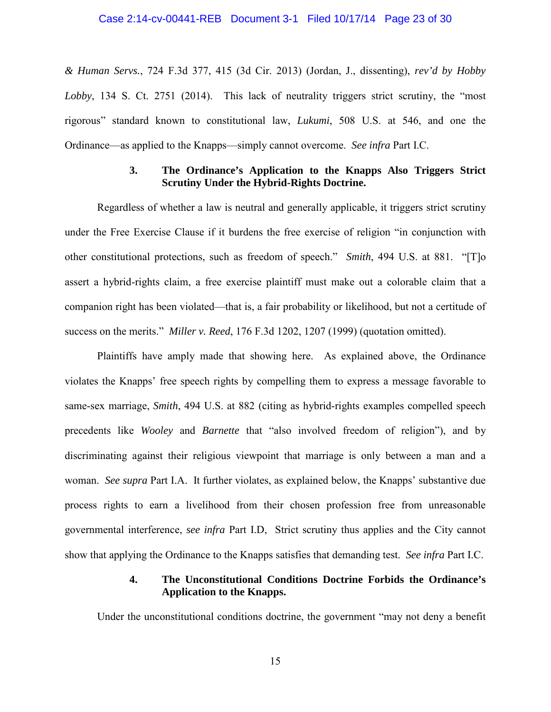## Case 2:14-cv-00441-REB Document 3-1 Filed 10/17/14 Page 23 of 30

*& Human Servs.*, 724 F.3d 377, 415 (3d Cir. 2013) (Jordan, J., dissenting), *rev'd by Hobby Lobby*, 134 S. Ct. 2751 (2014). This lack of neutrality triggers strict scrutiny, the "most rigorous" standard known to constitutional law, *Lukumi*, 508 U.S. at 546, and one the Ordinance—as applied to the Knapps—simply cannot overcome. *See infra* Part I.C.

### **3. The Ordinance's Application to the Knapps Also Triggers Strict Scrutiny Under the Hybrid-Rights Doctrine.**

Regardless of whether a law is neutral and generally applicable, it triggers strict scrutiny under the Free Exercise Clause if it burdens the free exercise of religion "in conjunction with other constitutional protections, such as freedom of speech." *Smith*, 494 U.S. at 881. "[T]o assert a hybrid-rights claim, a free exercise plaintiff must make out a colorable claim that a companion right has been violated—that is, a fair probability or likelihood, but not a certitude of success on the merits." *Miller v. Reed*, 176 F.3d 1202, 1207 (1999) (quotation omitted).

Plaintiffs have amply made that showing here. As explained above, the Ordinance violates the Knapps' free speech rights by compelling them to express a message favorable to same-sex marriage, *Smith*, 494 U.S. at 882 (citing as hybrid-rights examples compelled speech precedents like *Wooley* and *Barnette* that "also involved freedom of religion"), and by discriminating against their religious viewpoint that marriage is only between a man and a woman. *See supra* Part I.A. It further violates, as explained below, the Knapps' substantive due process rights to earn a livelihood from their chosen profession free from unreasonable governmental interference, *see infra* Part I.D, Strict scrutiny thus applies and the City cannot show that applying the Ordinance to the Knapps satisfies that demanding test. *See infra* Part I.C.

## **4. The Unconstitutional Conditions Doctrine Forbids the Ordinance's Application to the Knapps.**

Under the unconstitutional conditions doctrine, the government "may not deny a benefit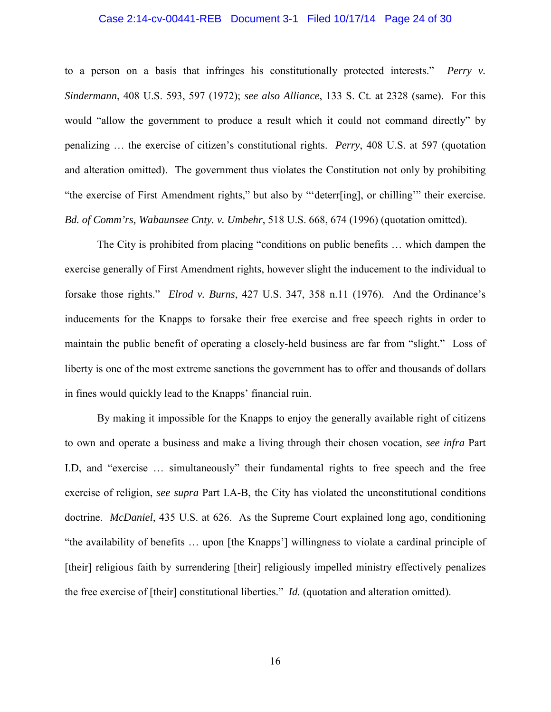#### Case 2:14-cv-00441-REB Document 3-1 Filed 10/17/14 Page 24 of 30

to a person on a basis that infringes his constitutionally protected interests." *Perry v. Sindermann*, 408 U.S. 593, 597 (1972); *see also Alliance*, 133 S. Ct. at 2328 (same). For this would "allow the government to produce a result which it could not command directly" by penalizing … the exercise of citizen's constitutional rights. *Perry*, 408 U.S. at 597 (quotation and alteration omitted). The government thus violates the Constitution not only by prohibiting "the exercise of First Amendment rights," but also by "'deterr[ing], or chilling'" their exercise. *Bd. of Comm'rs, Wabaunsee Cnty. v. Umbehr*, 518 U.S. 668, 674 (1996) (quotation omitted).

The City is prohibited from placing "conditions on public benefits … which dampen the exercise generally of First Amendment rights, however slight the inducement to the individual to forsake those rights." *Elrod v. Burns*, 427 U.S. 347, 358 n.11 (1976). And the Ordinance's inducements for the Knapps to forsake their free exercise and free speech rights in order to maintain the public benefit of operating a closely-held business are far from "slight." Loss of liberty is one of the most extreme sanctions the government has to offer and thousands of dollars in fines would quickly lead to the Knapps' financial ruin.

By making it impossible for the Knapps to enjoy the generally available right of citizens to own and operate a business and make a living through their chosen vocation, *see infra* Part I.D, and "exercise … simultaneously" their fundamental rights to free speech and the free exercise of religion, *see supra* Part I.A-B, the City has violated the unconstitutional conditions doctrine. *McDaniel*, 435 U.S. at 626. As the Supreme Court explained long ago, conditioning "the availability of benefits … upon [the Knapps'] willingness to violate a cardinal principle of [their] religious faith by surrendering [their] religiously impelled ministry effectively penalizes the free exercise of [their] constitutional liberties." *Id.* (quotation and alteration omitted).

16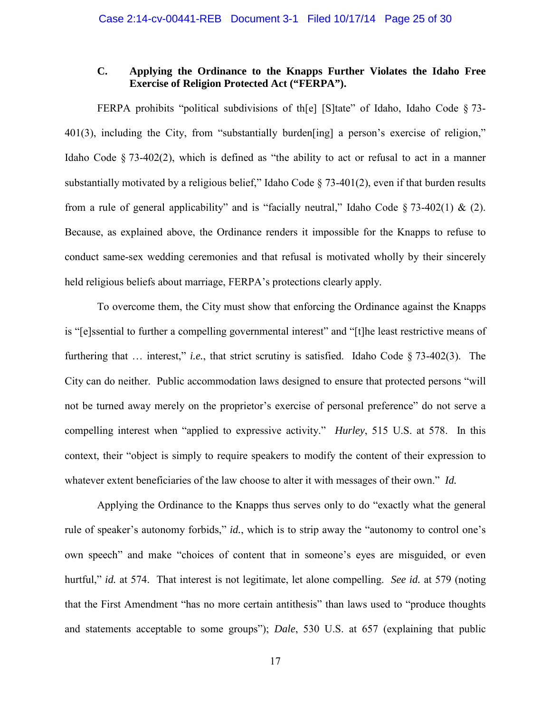## **C. Applying the Ordinance to the Knapps Further Violates the Idaho Free Exercise of Religion Protected Act ("FERPA").**

FERPA prohibits "political subdivisions of th[e] [S]tate" of Idaho, Idaho Code § 73- 401(3), including the City, from "substantially burden[ing] a person's exercise of religion," Idaho Code § 73-402(2), which is defined as "the ability to act or refusal to act in a manner substantially motivated by a religious belief," Idaho Code  $\S$  73-401(2), even if that burden results from a rule of general applicability" and is "facially neutral," Idaho Code  $\S$  73-402(1) & (2). Because, as explained above, the Ordinance renders it impossible for the Knapps to refuse to conduct same-sex wedding ceremonies and that refusal is motivated wholly by their sincerely held religious beliefs about marriage, FERPA's protections clearly apply.

To overcome them, the City must show that enforcing the Ordinance against the Knapps is "[e]ssential to further a compelling governmental interest" and "[t]he least restrictive means of furthering that … interest," *i.e.*, that strict scrutiny is satisfied. Idaho Code § 73-402(3). The City can do neither. Public accommodation laws designed to ensure that protected persons "will not be turned away merely on the proprietor's exercise of personal preference" do not serve a compelling interest when "applied to expressive activity." *Hurley*, 515 U.S. at 578. In this context, their "object is simply to require speakers to modify the content of their expression to whatever extent beneficiaries of the law choose to alter it with messages of their own." *Id.*

Applying the Ordinance to the Knapps thus serves only to do "exactly what the general rule of speaker's autonomy forbids," *id.*, which is to strip away the "autonomy to control one's own speech" and make "choices of content that in someone's eyes are misguided, or even hurtful," *id.* at 574. That interest is not legitimate, let alone compelling. *See id.* at 579 (noting that the First Amendment "has no more certain antithesis" than laws used to "produce thoughts and statements acceptable to some groups"); *Dale*, 530 U.S. at 657 (explaining that public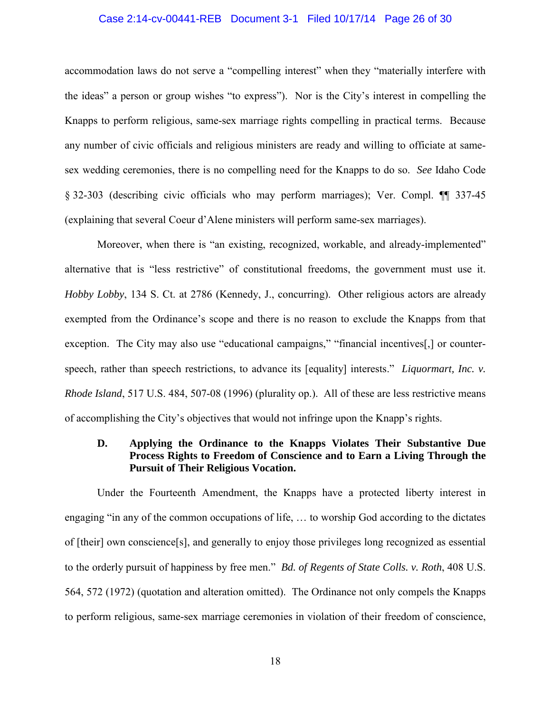#### Case 2:14-cv-00441-REB Document 3-1 Filed 10/17/14 Page 26 of 30

accommodation laws do not serve a "compelling interest" when they "materially interfere with the ideas" a person or group wishes "to express"). Nor is the City's interest in compelling the Knapps to perform religious, same-sex marriage rights compelling in practical terms. Because any number of civic officials and religious ministers are ready and willing to officiate at samesex wedding ceremonies, there is no compelling need for the Knapps to do so. *See* Idaho Code § 32-303 (describing civic officials who may perform marriages); Ver. Compl. ¶¶ 337-45 (explaining that several Coeur d'Alene ministers will perform same-sex marriages).

Moreover, when there is "an existing, recognized, workable, and already-implemented" alternative that is "less restrictive" of constitutional freedoms, the government must use it. *Hobby Lobby*, 134 S. Ct. at 2786 (Kennedy, J., concurring). Other religious actors are already exempted from the Ordinance's scope and there is no reason to exclude the Knapps from that exception. The City may also use "educational campaigns," "financial incentives...] or counterspeech, rather than speech restrictions, to advance its [equality] interests." *Liquormart, Inc. v. Rhode Island*, 517 U.S. 484, 507-08 (1996) (plurality op.). All of these are less restrictive means of accomplishing the City's objectives that would not infringe upon the Knapp's rights.

## **D. Applying the Ordinance to the Knapps Violates Their Substantive Due Process Rights to Freedom of Conscience and to Earn a Living Through the Pursuit of Their Religious Vocation.**

Under the Fourteenth Amendment, the Knapps have a protected liberty interest in engaging "in any of the common occupations of life, … to worship God according to the dictates of [their] own conscience[s], and generally to enjoy those privileges long recognized as essential to the orderly pursuit of happiness by free men." *Bd. of Regents of State Colls. v. Roth*, 408 U.S. 564, 572 (1972) (quotation and alteration omitted). The Ordinance not only compels the Knapps to perform religious, same-sex marriage ceremonies in violation of their freedom of conscience,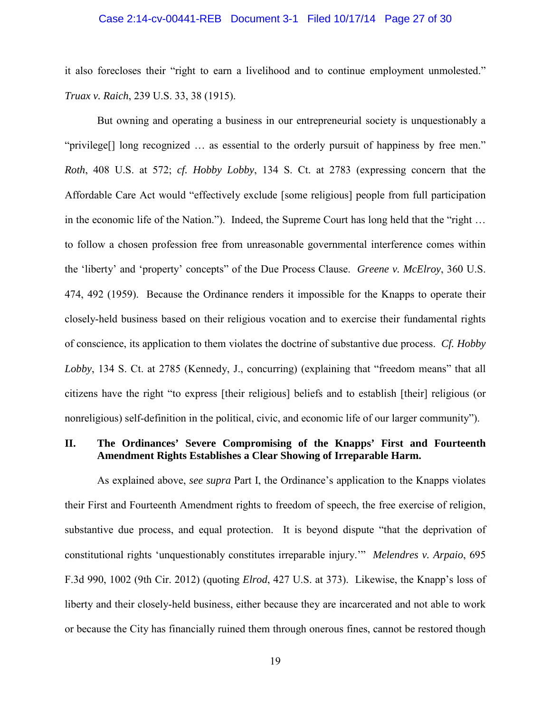#### Case 2:14-cv-00441-REB Document 3-1 Filed 10/17/14 Page 27 of 30

it also forecloses their "right to earn a livelihood and to continue employment unmolested." *Truax v. Raich*, 239 U.S. 33, 38 (1915).

But owning and operating a business in our entrepreneurial society is unquestionably a "privilege[] long recognized … as essential to the orderly pursuit of happiness by free men." *Roth*, 408 U.S. at 572; *cf. Hobby Lobby*, 134 S. Ct. at 2783 (expressing concern that the Affordable Care Act would "effectively exclude [some religious] people from full participation in the economic life of the Nation."). Indeed, the Supreme Court has long held that the "right … to follow a chosen profession free from unreasonable governmental interference comes within the 'liberty' and 'property' concepts" of the Due Process Clause. *Greene v. McElroy*, 360 U.S. 474, 492 (1959). Because the Ordinance renders it impossible for the Knapps to operate their closely-held business based on their religious vocation and to exercise their fundamental rights of conscience, its application to them violates the doctrine of substantive due process. *Cf. Hobby Lobby*, 134 S. Ct. at 2785 (Kennedy, J., concurring) (explaining that "freedom means" that all citizens have the right "to express [their religious] beliefs and to establish [their] religious (or nonreligious) self-definition in the political, civic, and economic life of our larger community").

### **II. The Ordinances' Severe Compromising of the Knapps' First and Fourteenth Amendment Rights Establishes a Clear Showing of Irreparable Harm.**

As explained above, *see supra* Part I, the Ordinance's application to the Knapps violates their First and Fourteenth Amendment rights to freedom of speech, the free exercise of religion, substantive due process, and equal protection. It is beyond dispute "that the deprivation of constitutional rights 'unquestionably constitutes irreparable injury.'" *Melendres v. Arpaio*, 695 F.3d 990, 1002 (9th Cir. 2012) (quoting *Elrod*, 427 U.S. at 373). Likewise, the Knapp's loss of liberty and their closely-held business, either because they are incarcerated and not able to work or because the City has financially ruined them through onerous fines, cannot be restored though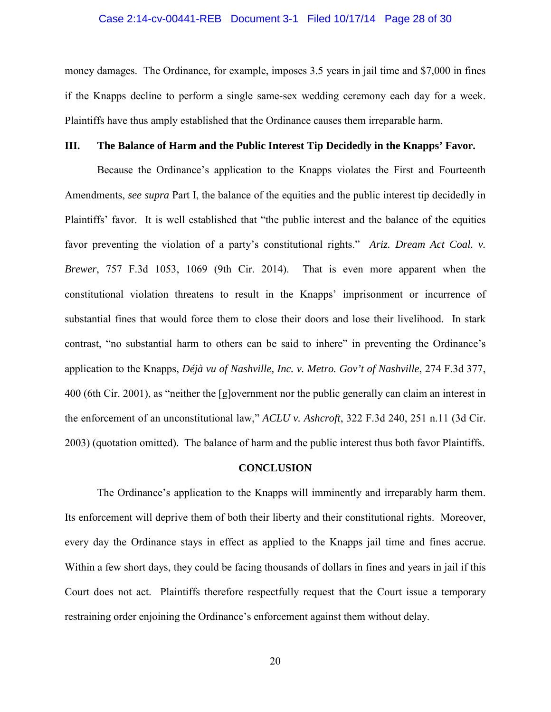## Case 2:14-cv-00441-REB Document 3-1 Filed 10/17/14 Page 28 of 30

money damages. The Ordinance, for example, imposes 3.5 years in jail time and \$7,000 in fines if the Knapps decline to perform a single same-sex wedding ceremony each day for a week. Plaintiffs have thus amply established that the Ordinance causes them irreparable harm.

### **III. The Balance of Harm and the Public Interest Tip Decidedly in the Knapps' Favor.**

Because the Ordinance's application to the Knapps violates the First and Fourteenth Amendments, *see supra* Part I, the balance of the equities and the public interest tip decidedly in Plaintiffs' favor. It is well established that "the public interest and the balance of the equities favor preventing the violation of a party's constitutional rights." *Ariz. Dream Act Coal. v. Brewer*, 757 F.3d 1053, 1069 (9th Cir. 2014). That is even more apparent when the constitutional violation threatens to result in the Knapps' imprisonment or incurrence of substantial fines that would force them to close their doors and lose their livelihood. In stark contrast, "no substantial harm to others can be said to inhere" in preventing the Ordinance's application to the Knapps, *Déjà vu of Nashville, Inc. v. Metro. Gov't of Nashville*, 274 F.3d 377, 400 (6th Cir. 2001), as "neither the [g]overnment nor the public generally can claim an interest in the enforcement of an unconstitutional law," *ACLU v. Ashcroft*, 322 F.3d 240, 251 n.11 (3d Cir. 2003) (quotation omitted). The balance of harm and the public interest thus both favor Plaintiffs.

#### **CONCLUSION**

The Ordinance's application to the Knapps will imminently and irreparably harm them. Its enforcement will deprive them of both their liberty and their constitutional rights. Moreover, every day the Ordinance stays in effect as applied to the Knapps jail time and fines accrue. Within a few short days, they could be facing thousands of dollars in fines and years in jail if this Court does not act. Plaintiffs therefore respectfully request that the Court issue a temporary restraining order enjoining the Ordinance's enforcement against them without delay.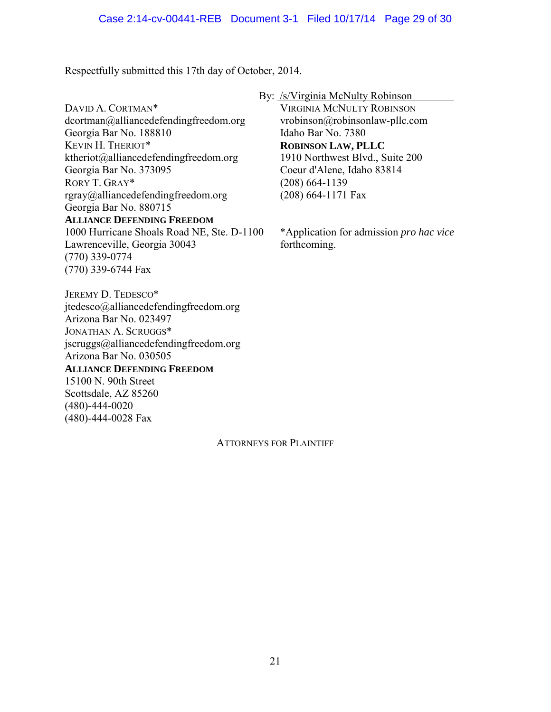Respectfully submitted this 17th day of October, 2014.

DAVID A. CORTMAN\* dcortman@alliancedefendingfreedom.org Georgia Bar No. 188810 KEVIN H. THERIOT\* ktheriot@alliancedefendingfreedom.org Georgia Bar No. 373095 RORY T. GRAY\* rgray@alliancedefendingfreedom.org Georgia Bar No. 880715 **ALLIANCE DEFENDING FREEDOM** 1000 Hurricane Shoals Road NE, Ste. D-1100 Lawrenceville, Georgia 30043 (770) 339-0774 (770) 339-6744 Fax

JEREMY D. TEDESCO\* jtedesco@alliancedefendingfreedom.org Arizona Bar No. 023497 JONATHAN A. SCRUGGS\* jscruggs@alliancedefendingfreedom.org Arizona Bar No. 030505 **ALLIANCE DEFENDING FREEDOM** 15100 N. 90th Street Scottsdale, AZ 85260 (480)-444-0020 (480)-444-0028 Fax

## By: /s/Virginia McNulty Robinson

VIRGINIA MCNULTY ROBINSON vrobinson@robinsonlaw-pllc.com Idaho Bar No. 7380 **ROBINSON LAW, PLLC** 1910 Northwest Blvd., Suite 200 Coeur d'Alene, Idaho 83814 (208) 664-1139 (208) 664-1171 Fax

\*Application for admission *pro hac vice* forthcoming.

ATTORNEYS FOR PLAINTIFF